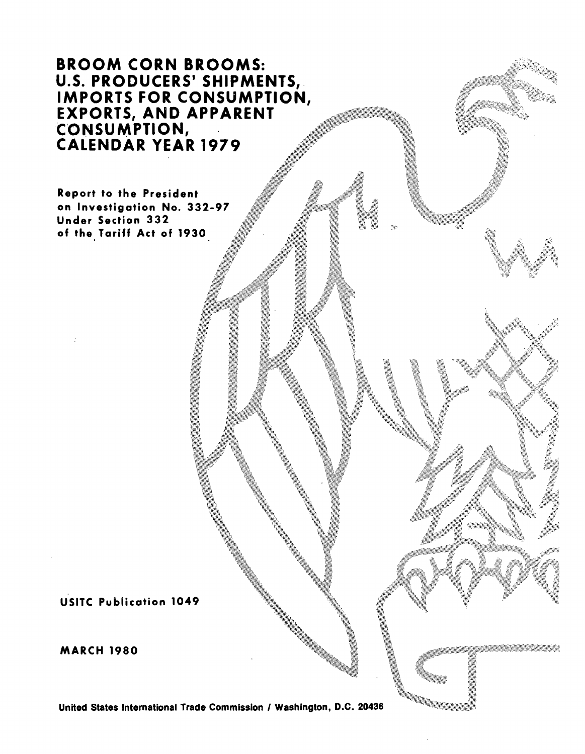BROOM CORN BROOMS: U.S. PRODUCERS' SHIPMENTS, IMPORTS FOR CONSUMPTION, EXPORTS, AND APPARENT CONSUMPTION, CALENDAR YEAR 1979

Report to the President on Investigation No. 332-97 Under Section 332 of the Tariff Act of 1930

USITC Publication 1049

MARCH 1980

United States International Trade Commission / Washington, D.C. 20436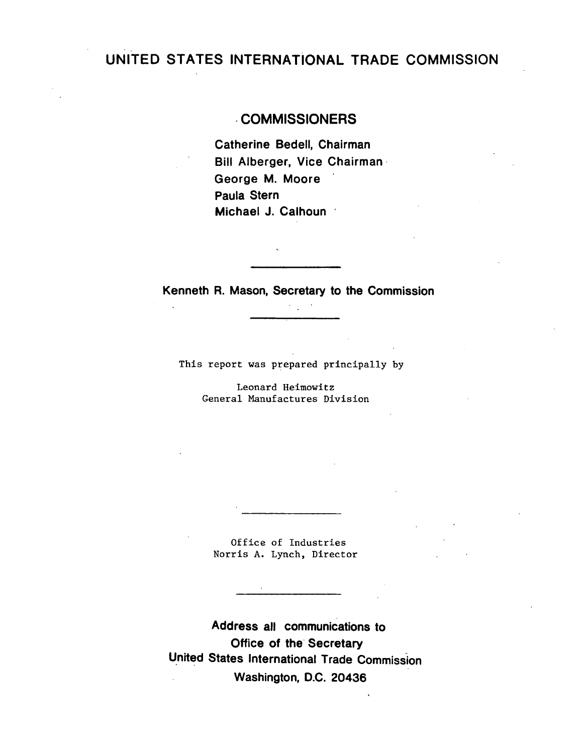# UNITED STATES INTERNATiONAL TRADE COMMISSION

# . COMMISSIONERS

Catherine Bedell, Chairman Bill Alberger, Vice Chairman· George M. Moore Paula Stern Michael J. Calhoun

Kenneth R. Mason, Secretary to the Commission

This report was prepared principally by

Leonard Heimowitz General Manufactures Division

Office of Industries Norris A. Lynch, Director

Address all communications to Office of the Secretary United States International Trade Commission Washington, D.C. 20436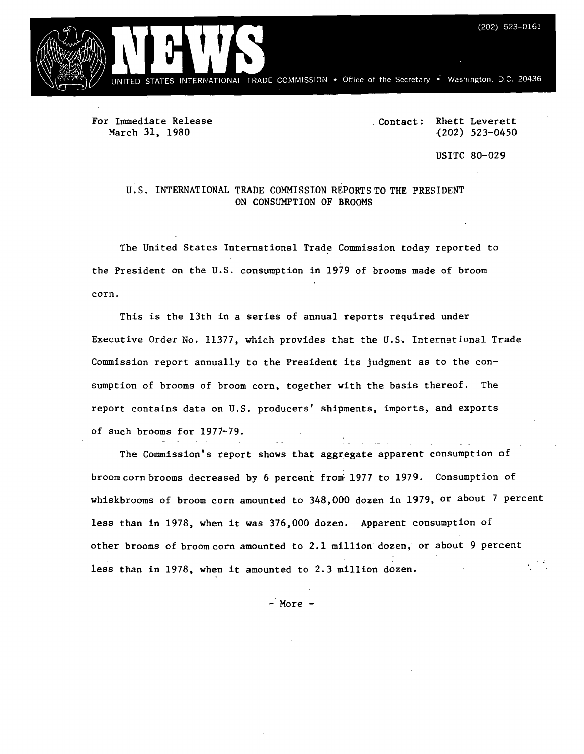

For Immediate Release March 31, 1980

. Contact: Rhett Leverett (202) 523-0450

USITC 80-029

## U.S. INTERNATIONAL TRADE COMMISSION REPORTS TO THE PRESIDENT ON CONSUMPTION OF BROOMS

The United States International Trade Commission today reported to the President on the U.S. consumption in 1979 of brooms made of broom corn.

This is the 13th in a series of annual reports required under Executive Order No. 11377, which provides that the U.S. International Trade Commission report annually to the President its judgment as to the consumption of brooms of broom corn, together with the basis thereof. The report contains data on U.S. producers' shipments, imports, and exports of such brooms for 1977-79.

The Commission's report shows that aggregate apparent consumption of broom corn brooms decreased by 6 percent froni· 1977 to 1979. Consumption of whiskbrooms of broom corn amounted to 348,000 dozen in 1979, or about 7 percent less than in 1978, when it was 376,000 dozen. Apparent consumption of other brooms of broom corn amounted to 2.1 million dozen; or about 9 percent less than in 1978, when it amounted to 2.3 million dozen.

- More -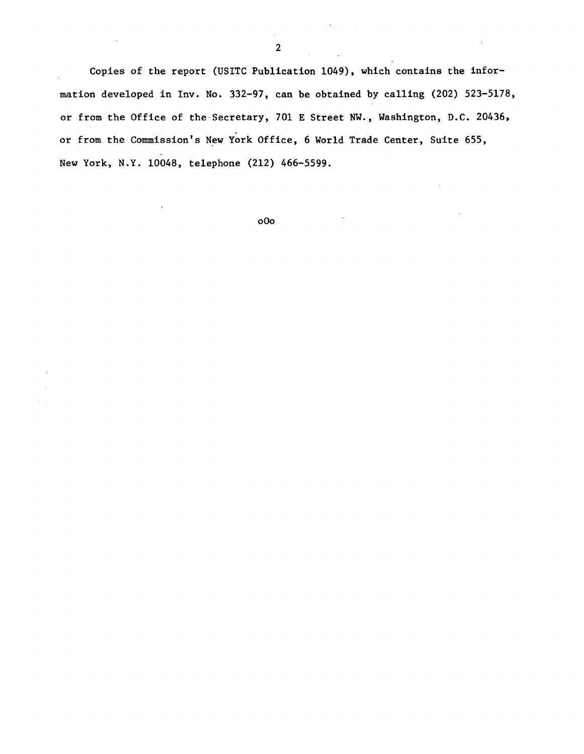Copies of the report (USITC Publication 1049), which contains the information developed in Inv. No. 332-97, can be obtained by calling (202) 523-5178, or from the Office of the·Secretary, 701 E Street NW., Washington, D.C. 20436, or from the Commission's New York Office, 6 World Trade Center, Suite 655, New York, N.Y. 10048, telephone (212) 466-5599.

oOo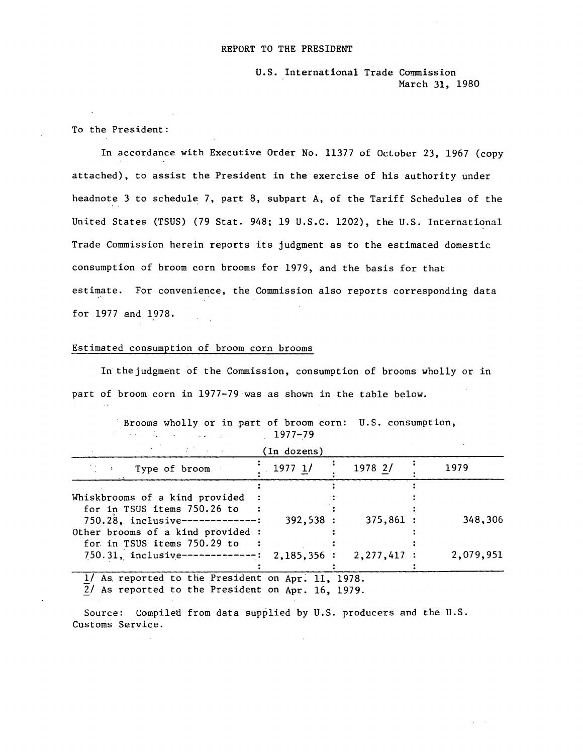### REPORT TO THE PRESIDENT

U.S. International Trade Commission March 31, 1980

To the President:

In accordance with Executive Order No. 11377 of October 23, 1967 (copy attached), to assist the President in the exercise of his authority under headnote 3 to schedule 7, part 8, subpart A, of the Tariff Schedules of the United States (TSUS) (79 Stat. 948; 19 U.S.C. 1202), the U.S. International Trade Commission herein reports its judgment as to the estimated domestic consumption of broom corn brooms for 1979, and the basis for that estimate. For convenience, the Commission also reports corresponding data for 1977 and 1978.  $\epsilon = \frac{1}{2}$ 

### Estimated consumption of broom corn brooms

 $\mathcal{L}^{\mathcal{L}}(\mathcal{L}^{\mathcal{L}})$  and  $\mathcal{L}^{\mathcal{L}}(\mathcal{L}^{\mathcal{L}})$  and  $\mathcal{L}^{\mathcal{L}}(\mathcal{L}^{\mathcal{L}})$ 

 $\Delta \sim 10$ 

In thejudgmeht of the Commission, consumption of brooms wholly or in part of broom corn in 1977-79 was as shown in the table below.

> Brooms wholly or in part of broom corn: U.S. consumption, 1977-79  $\mathcal{A}(\mathcal{A})$  and  $\mathcal{A}(\mathcal{A})$  are all  $\mathcal{A}(\mathcal{A})$  . In the set of  $\mathcal{A}(\mathcal{A})$

|  | .In dozens) |
|--|-------------|
|--|-------------|

| Type of broom                    | 19771/   | 1978 2/              | 1979      |
|----------------------------------|----------|----------------------|-----------|
|                                  |          |                      |           |
| Whiskbrooms of a kind provided : |          |                      |           |
| for in TSUS items 750.26 to      |          |                      |           |
| 750.28, inclusive-------------:  | 392,538: | $375,861$ :          | 348,306   |
| Other brooms of a kind provided: |          |                      |           |
| for in TSUS items 750.29 to      |          |                      |           |
| 750.31, inclusive--------------: |          | 2,185,356:2,277,417: | 2,079,951 |
|                                  |          |                      |           |

 $1/$  As reported to the President on Apr. 11, 1978. Z/ As reported to the President on Apr. 16, 1979.

Source: Compiled from data supplied by U.S. producers and the U.S. Customs Service.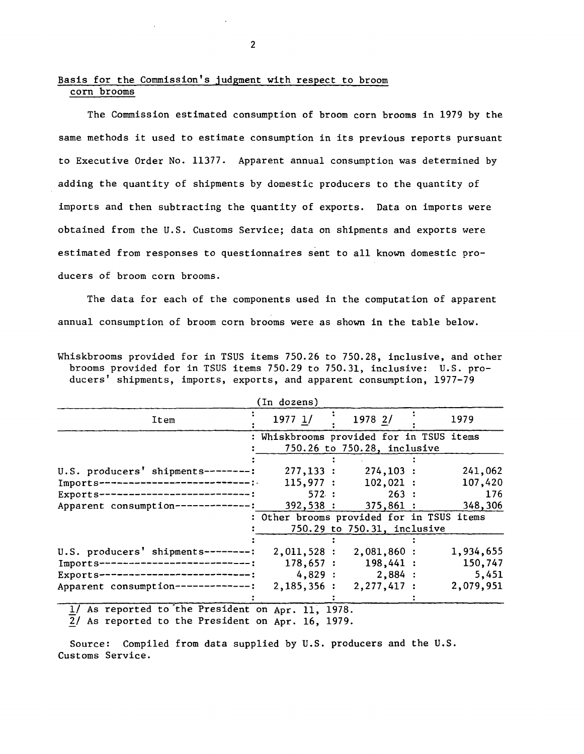## Basis for the Commission's judgment with respect to broom corn brooms

The Commission estimated consumption of broom corn brooms in 1979 by the same methods it used to estimate consumption in its previous reports pursuant to Executive Order No. 11377. Apparent annual consumption was determined by adding the quantity of shipments by domestic producers to the quantity of imports and then subtracting the quantity of exports. Data on imports were obtained from the U.S. Customs Service; data on shipments and exports were estimated from responses to questionnaires sent to all known domestic producers of broom corn brooms.

The data for each of the components used in the computation of apparent annual consumption of broom corn brooms were as shown in the table below.

Whiskbrooms provided for in TSUS items 750.26 to 750.28, inclusive, and other brooms provided for in TSUS items 750.29 to 750.31, inclusive: U.S. producers' shipments, imports, exports, and apparent consumption, 1977-79

| (In dozens)                                       |                                           |  |                             |  |           |  |  |  |
|---------------------------------------------------|-------------------------------------------|--|-----------------------------|--|-----------|--|--|--|
| Item                                              | 19771/                                    |  | 1978 2/                     |  | 1979      |  |  |  |
|                                                   | : Whiskbrooms provided for in TSUS items  |  |                             |  |           |  |  |  |
|                                                   | 750.26 to 750.28, inclusive               |  |                             |  |           |  |  |  |
|                                                   |                                           |  |                             |  |           |  |  |  |
| U.S. producers' shipments--------:                | 277,133:                                  |  | 274,103:                    |  | 241,062   |  |  |  |
| Imports----------------------------:              | 115,977:                                  |  | $102,021$ :                 |  | 107,420   |  |  |  |
| Exports---------------------------:               | 572:                                      |  | 263 :                       |  | 176       |  |  |  |
| Apparent consumption-------------:                |                                           |  | 392,538: 375,861:           |  | 348,306   |  |  |  |
|                                                   | : Other brooms provided for in TSUS items |  |                             |  |           |  |  |  |
|                                                   |                                           |  | 750.29 to 750.31, inclusive |  |           |  |  |  |
|                                                   |                                           |  |                             |  |           |  |  |  |
| U.S. producers' shipments--------:                | 2,011,528:                                |  | 2,081,860:                  |  | 1,934,655 |  |  |  |
| Imports---------------------------:               | 178,657:                                  |  | 198,441:                    |  | 150,747   |  |  |  |
| Exports----------------------------:              | 4,829:                                    |  | 2,884:                      |  | 5,451     |  |  |  |
| Apparent consumption -------------:               | 2,185,356:                                |  | 2, 277, 417:                |  | 2,079,951 |  |  |  |
|                                                   |                                           |  |                             |  |           |  |  |  |
| 1/ As reported to the President on Apr. 11, 1978. |                                           |  |                             |  |           |  |  |  |

 $\frac{1}{2}$ / As reported to the President on Apr. 11, 1976.<br> $\frac{2}{3}$  As reported to the President on Apr. 16, 1979.

Source: Compiled from data supplied by U.S. producers and the U.S. Customs Service.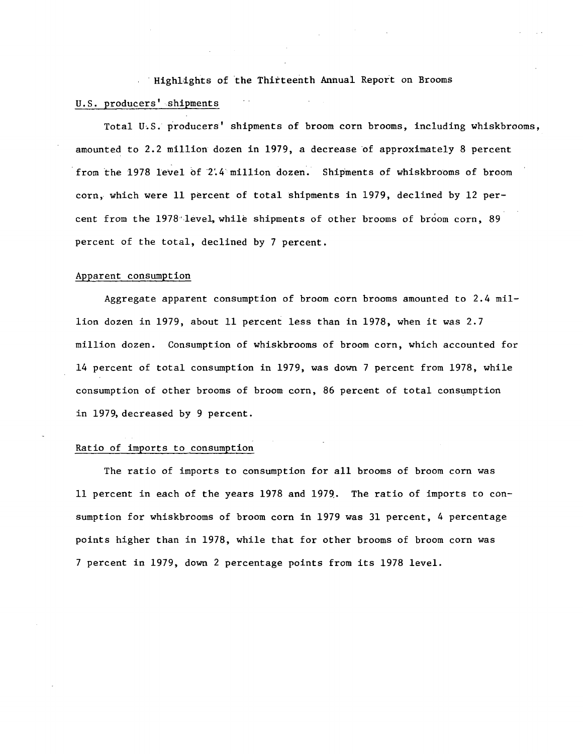I Highlights of the Thirteenth Annual Report on Brooms

#### U.S. producers' shipments

Total U.S. producers' shipments of broom corn brooms, including whisk brooms, amounted to 2.2 million dozen in 1979, a decrease of approximately 8 percent from the 1978 level of 2.4 million dozen. Shipments of whiskbrooms of broom corn, which were 11 percent of total shipments in 1979, declined by 12 percent from the 1978·level, while shipments of other brooms of broom corn, 89 percent of the total, declined by 7 percent.

#### Apparent consumption

Aggregate apparent consumption of broom corn brooms amounted to 2.4 million dozen in 1979, about 11 percent less than in 1978, when it was 2.7 million dozen. Consumption of whiskbrooms of broom corn, which accounted for 14 percent of total consumption in 1979, was down 7 percent from 1978, while consumption of other brooms of broom corn, 86 percent of total consumption in 1979, decreased by 9 percent.

#### Ratio of imports to consumption

The ratio of imports to consumption for all brooms of broom corn was 11 percent in each of the years 1978 and 1979. The ratio of imports to consumption for whiskbrooms of broom corn in 1979 was 31 percent, 4 percentage points higher than in 1978, while that for other brooms of broom corn was 7 percent in 1979, down 2 percentage points from its 1978 level.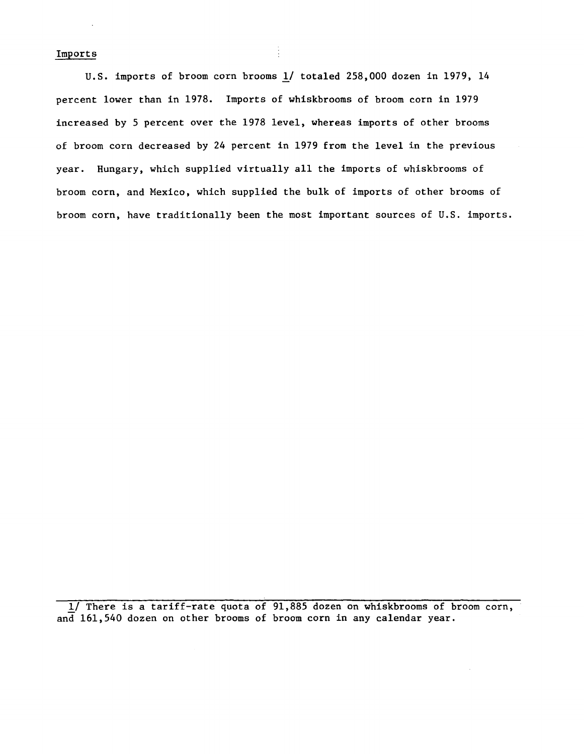### Imports

U.S. imports of broom corn brooms 1/ totaled 258,000 dozen in 1979, 14 percent lower than in 1978. Imports of whiskbrooms of broom corn in 1979 increased by 5 percent over the 1978 level, whereas imports of other brooms of broom corn decreased by 24 percent in 1979 from the level in the previous year. Hungary, which supplied virtually all the imports of whiskbrooms of broom corn, and Mexico, which supplied the bulk of imports of other brooms of broom corn, have traditionally been the most important sources of U.S. imports.

1/ There is a tariff-rate quota of 91,885 dozen on whiskbrooms of broom corn, and 161,540 dozen on other brooms of broom corn in any calendar year.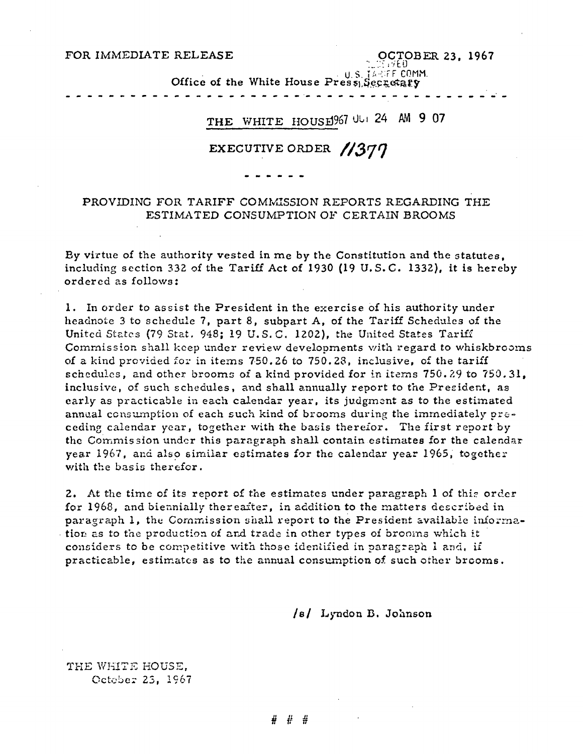### FOR IMMEDIATE RELEASE

#### OCTOBER 23, 1967 avED

U.S. JARFF COMM. Office of the White House Press Secretary

# THE WHITE HOUSE 967 ULI 24 AM 9 07

# EXECUTIVE ORDER /377

## PROVIDING FOR TARIFF COMMISSION REPORTS REGARDING THE ESTIMATED CONSUMPTION OF CERTAIN BROOMS

By virtue of the authority vested in me by the Constitution and the statutes. including section 332 of the Tariff Act of 1930 (19 U.S.C. 1332), it is hereby ordered as follows:

1. In order to assist the President in the exercise of his authority under headnote 3 to schedule 7, part 8, subpart A, of the Tariff Schedules of the United States (79 Stat. 948; 19 U.S.C. 1202), the United States Tariff Commission shall keep under review developments with regard to whiskbrooms of a kind provided for in items 750.26 to 750.28, inclusive, of the tariff schedules, and other brooms of a kind provided for in items 750.29 to 750.31, inclusive, of such schedules, and shall annually report to the President, as early as practicable in each calendar year, its judgment as to the estimated annual consumption of each such kind of brooms during the immediately preceding calendar year, together with the basis therefor. The first report by the Commission under this paragraph shall contain estimates for the calendar year 1967, and also similar estimates for the calendar year 1965, together with the basis therefor.

2. At the time of its report of the estimates under paragraph 1 of this order for 1968, and biennially thereafter, in addition to the matters described in paragraph 1, the Commission shall report to the President available information as to the production of and trade in other types of brooms which it considers to be competitive with those identified in paragraph I and, if practicable, estimates as to the annual consumption of such other brooms.

/s/ Lyndon B. Johnson

THE WHITE HOUSE. October 23, 1967

# # #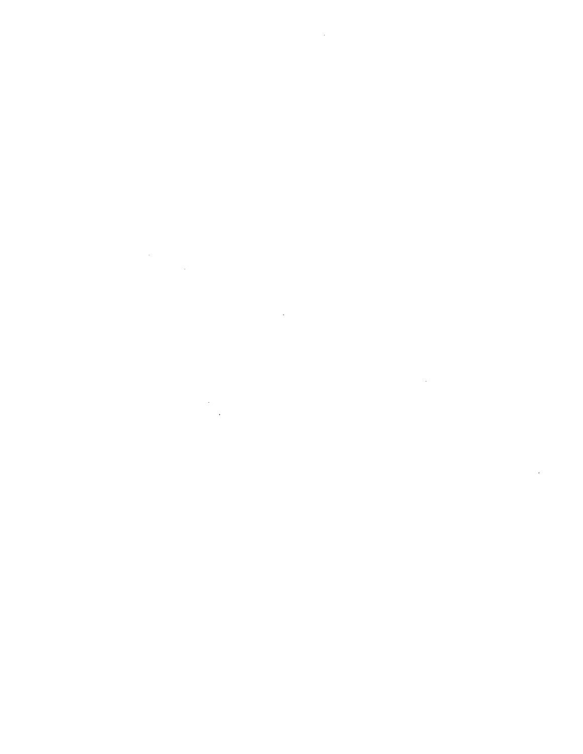$\label{eq:2.1} \mathcal{L}(\mathcal{L}^{\text{max}}_{\mathcal{L}}(\mathcal{L}^{\text{max}}_{\mathcal{L}}(\mathcal{L}^{\text{max}}_{\mathcal{L}}(\mathcal{L}^{\text{max}}_{\mathcal{L}^{\text{max}}_{\mathcal{L}}}))))$ 

 $\label{eq:2.1} \begin{split} \mathcal{L}_{\text{max}}(\mathbf{r}) & = \frac{1}{2} \sum_{i=1}^{N} \mathcal{L}_{\text{max}}(\mathbf{r}) \mathcal{L}_{\text{max}}(\mathbf{r}) \\ & = \frac{1}{2} \sum_{i=1}^{N} \mathcal{L}_{\text{max}}(\mathbf{r}) \mathcal{L}_{\text{max}}(\mathbf{r}) \mathcal{L}_{\text{max}}(\mathbf{r}) \mathcal{L}_{\text{max}}(\mathbf{r}) \mathcal{L}_{\text{max}}(\mathbf{r}) \mathcal{L}_{\text{max}}(\mathbf{r}) \mathcal{L}_{\text{max}}(\mathbf$  $\label{eq:2.1} \frac{1}{\sqrt{2}}\int_{\mathbb{R}^3}\frac{1}{\sqrt{2}}\left(\frac{1}{\sqrt{2}}\right)^2\frac{1}{\sqrt{2}}\left(\frac{1}{\sqrt{2}}\right)^2\frac{1}{\sqrt{2}}\left(\frac{1}{\sqrt{2}}\right)^2\frac{1}{\sqrt{2}}\left(\frac{1}{\sqrt{2}}\right)^2.$ 

 $\label{eq:2.1} \frac{1}{\sqrt{2}}\left(\frac{1}{\sqrt{2}}\right)^{2} \left(\frac{1}{\sqrt{2}}\right)^{2} \left(\frac{1}{\sqrt{2}}\right)^{2} \left(\frac{1}{\sqrt{2}}\right)^{2} \left(\frac{1}{\sqrt{2}}\right)^{2} \left(\frac{1}{\sqrt{2}}\right)^{2} \left(\frac{1}{\sqrt{2}}\right)^{2} \left(\frac{1}{\sqrt{2}}\right)^{2} \left(\frac{1}{\sqrt{2}}\right)^{2} \left(\frac{1}{\sqrt{2}}\right)^{2} \left(\frac{1}{\sqrt{2}}\right)^{2} \left(\$ 

 $\mathcal{L}^{\text{max}}_{\text{max}}$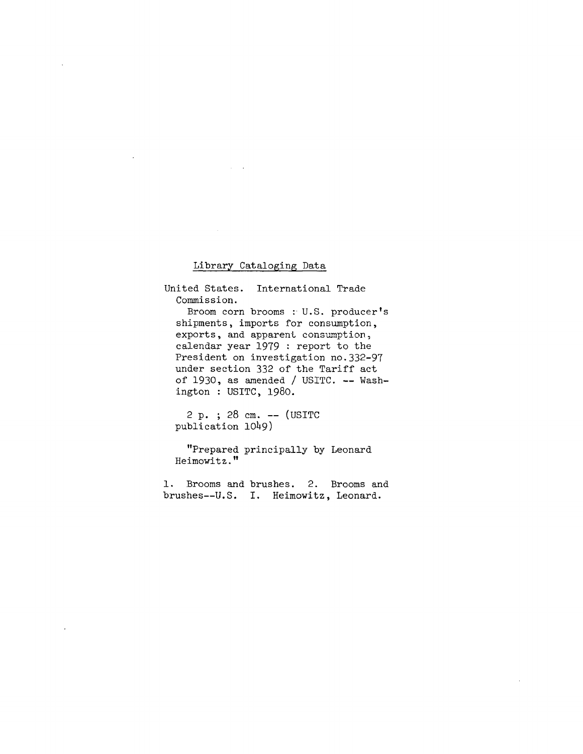#### Library Cataloging Data

United States. International Trade Commission.

Broom corn brooms : U.S. producer's shipments, imports for consumption, exports, and apparent consumption, calendar year 1979 : report to the President on investigation no.332-97 under section 332 of the Tariff act of 1930, as amended / USITC.  $--$  Washington : USITC, 1980.

 $2 p.$ ;  $28 cm. - (USTTC)$ publication 1049)

"Prepared principally by Leonard Heimowitz."

1. Brooms and brushes. 2. Brooms and brushes--U.S. I. Heimowitz, Leonard.